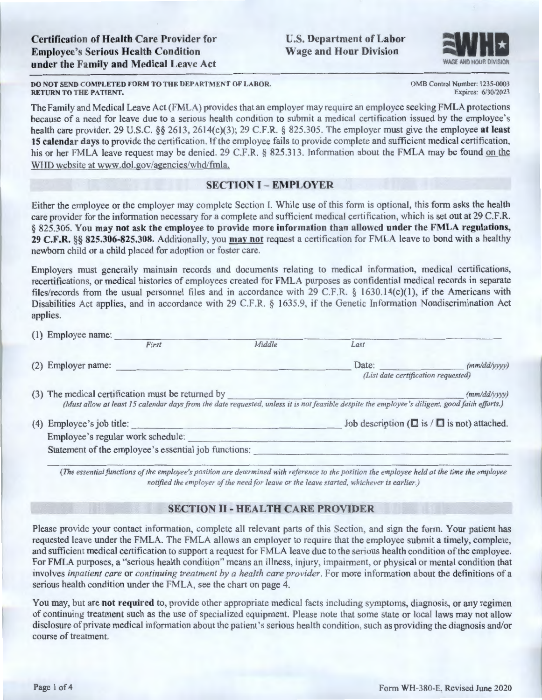U.S. Department of Labor **Wage and Hour Division** 



0 MB Control Number: I 235-0003 Expires: 6/30/2023

### **DO NOT SEND COMPLETED FORM TO THE DEPARTMENT OF LABOR. RETURN TO THE PATIENT.**

The Family and Medical Leave Act (FMLA) provides that an employer may require an employee seeking FMLA protections because of a need for leave due to a serious health condition to submit a medical certification issued by the employee's health care provider. 29 U.S.C. §§ 2613, 2614(c)(3); 29 C.F.R. § 825.305. The employer must give the employee **at least**  15 calendar days to provide the certification. If the employee fails to provide complete and sufficient medical certification, his or her FMLA leave request may be denied. 29 C.F.R. § 825.313. Information about the FMLA may be found on the WHD website at www.dol.gov/agencies/whd/fmla.

# **SECTION** I - **EMPLOYER**

Either the employee or the employer may complete Section l. While use of this form is optional, this form asks the health care provider for the information necessary for a complete and sufficient medical certification, which is set out at 29 C.F.R. § 825.306. **You may not ask the employee to provide more information than allowed under the FMLA regulations, 29 C.F.R.** §§ **825.306-825.308.** Additionally, you **may not** request a certification for FMLA leave to bond with a healthy newborn child or a child placed for adoption or foster care.

Employers must generally maintain records and documents relating to medical information, medical certifications, recertifications, or medical histories of employees created for FMLA purposes as confidential medical records in separate files/records from the usual personnel files and in accordance with 29 C.F.R. § 1630.14(c)(1), if the Americans with Disabilities Act applies, and in accordance with 29 C.F.R. § 1635.9, if the Genetic Information Nondiscrimination Act applies.

|  | (1) Employee name:                                                                                                                             |        |                                                        |              |  |  |
|--|------------------------------------------------------------------------------------------------------------------------------------------------|--------|--------------------------------------------------------|--------------|--|--|
|  | First                                                                                                                                          | Middle | Last                                                   |              |  |  |
|  | (2) Employer name:                                                                                                                             |        | Date:                                                  | (mm/dd/vvvv) |  |  |
|  | (List date certification requested)                                                                                                            |        |                                                        |              |  |  |
|  | (3) The medical certification must be returned by                                                                                              |        |                                                        | (mm/dd/vvvv) |  |  |
|  | (Must allow at least 15 calendar days from the date requested, unless it is not feasible despite the employee's diligent, good faith efforts.) |        |                                                        |              |  |  |
|  | (4) Employee's job title:                                                                                                                      |        | Job description ( $\Box$ is / $\Box$ is not) attached. |              |  |  |
|  | Employee's regular work schedule:                                                                                                              |        |                                                        |              |  |  |
|  | Statement of the employee's essential job functions:                                                                                           |        |                                                        |              |  |  |

(The essential functions of the employee's position are determined with reference to the position the employee held at the time the employee *notified the employer of the need for leave or the leave started, whichever is earlier.)* 

## **SECTION** II - **HEAL TH CARE PROVIDER**

Please provide your contact information, complete all relevant parts of this Section, and sign the form. Your patient has requested leave under the FMLA. The FMLA allows an employer to require that the employee submit a timely, complete, and sufficient medical certification to support a request for FMLA leave due to the serious health condition of the employee. For FMLA purposes, a "serious health condition" means an illness, injury, impairment, or physical or mental condition that involves *inpatient care* or *continuing treatment by a health care provider.* For more information about the definitions of a serious health condition under the FMLA, see the chart on page 4.

You may, but are **not required** to, provide other appropriate medical facts including symptoms, diagnosis, or any regimen of continuing treatment such as the use of specialized equipment. Please note that some state or local laws may not allow disclosure of private medical information about the patient's serious health condition, such as providing the diagnosis and/or course of treatment.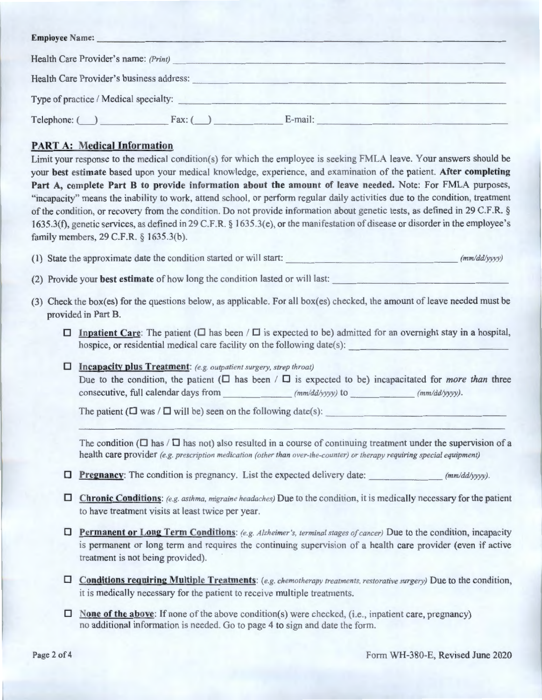|                                          | Health Care Provider's name: (Print) |         |  |
|------------------------------------------|--------------------------------------|---------|--|
| Health Care Provider's business address: |                                      |         |  |
| Type of practice / Medical specialty:    |                                      |         |  |
| Telephone: (                             | Fax: (                               | E-mail: |  |

# **PART A: Medical Information**

Limit your response to the medical condition(s) for which the employee is seeking FMLA leave. Your answers should be your **best estimate** based upon your medical knowledge, experience, and examination of the patient. **After completing**  Part A, complete Part B to provide information about the amount of leave needed. Note: For FMLA purposes, "incapacity" means the inability to work, attend school, or perform regular daily activities due to the condition, treatment of the condition, or recovery from the condition. Do not provide information about genetic tests, as defined in 29 C.F.R. § 1635.3(f), genetic services, as defined in 29 C.F.R. § 1635.3(e), or the manifestation of disease or disorder in the employee's family members, 29 C.F.R. § 1635.3(b).

(1) State the approximate date the condition started or will start:  $\frac{mm/dd/yyyy}{mm/dd/yyyy)}$ 

(2) Provide your **best estimate** of how long the condition lasted or will last: \_\_\_\_\_\_\_\_\_\_\_\_\_\_\_\_ \_

- (3) Check the box(es) for the questions below, as applicable. For all box(es) checked, the amount of leave needed must be provided in Part B.
	- **D** Inpatient Care: The patient ( $\Box$  has been /  $\Box$  is expected to be) admitted for an overnight stay in a hospital, hospice, or residential medical care facility on the following date(s):
	- **D Incapacity plus Treatment:** *(e.g. outpatient surgery, strep throat)*  Due to the condition, the patient  $(\Box$  has been  $/\Box$  is expected to be) incapacitated for *more than* three consecutive, full calendar days from *(mm/dd/yyyy)* to *(mm/dd/yyyy)*.

The patient ( $\square$  was / $\square$  will be) seen on the following date(s):

The condition ( $\Box$  has / $\Box$  has not) also resulted in a course of continuing treatment under the supervision of a health care provider *(e.g. prescription medication (other than over-the-counter) or therapy requiring special equipment)* 

- **D** Pregnancy: The condition is pregnancy. List the expected delivery date:  $(m \text{m}/d d \text{/yyy})$ .
- □ Chronic Conditions: *(e.g. asthma, migraine headaches)* Due to the condition, it is medically necessary for the patient to have treatment visits at least twice per year.
- □ **Permanent or Long Term Conditions:** (e.g. Alzheimer's, terminal stages of cancer) Due to the condition, incapacity is permanent or long term and requires the continuing supervision of a health care provider (even if active treatment is not being provided).
- $\Box$  **Conditions requiring Multiple Treatments:** *(e.g. chemotherapy treatments, restorative surgery)* Due to the condition, it is medically necessary for the patient to receive multiple treatments.
- D **None of the above:** If none of the above condition(s) were checked, (i.e., inpatient care, pregnancy) no additional information is needed. Go to page 4 to sign and date the form.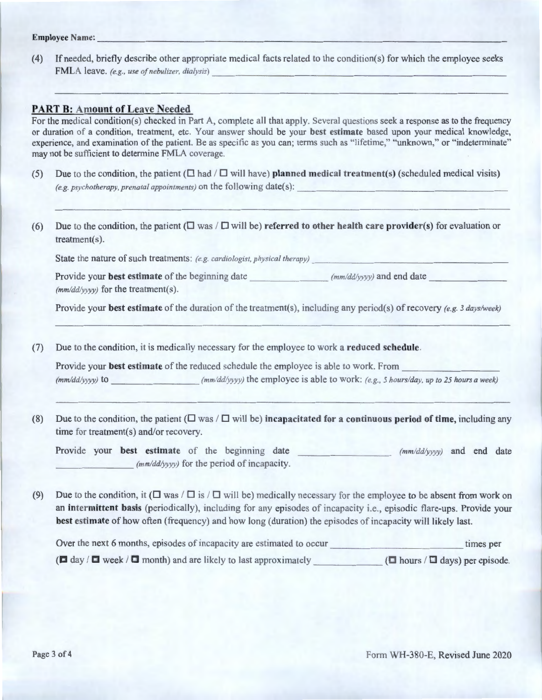# **Employee Name:---------------------------------------**

( 4) If needed, briefly describe other appropri ate medical facts related to the condition(s) for which the employee seeks FMLA leave. *(e.g. , use of neb11lizer, dialysis)* ------------------- - --------

## **PART B: Amount of Leave Needed**

For the medical condition(s) checked in Part A, complete all that apply. Several questions seek a response as to the frequency or duration of a condition, treatment, etc. Your answer should be your **best estimate** based upon your medical knowledge, experience, and examination of the patient. Be as specific as you can; terms such as "lifetime," "unknown," or "indeterminate" may not be sufficient to determine FMLA coverage.

- (5) Due to the condition, the patient ( $\square$  had / $\square$  will have) **planned medical treatment(s)** (scheduled medical visits) (e.g. psychotherapy, prenatal appointments) on the following date(s):
- (6) Due to the condition, the patient  $(\Box \text{ was } / \Box \text{ will be})$  **referred to other health care provider(s)** for evaluation or treatment(s).

State the nature of such treatments: *(e.g. cardiologist, physical therapy)* 

Provide your **best estimate** of the beginning date  $(mm/dd/yyyy)$  and end date *(mmlddlyyyy)* for the treatment(s).

Provide your **best estimate** of the duration of the treatment(s), including any period(s) ofrecovery *(e.g. 3 days/week)* 

(7) Due to the condition, it is medically necessary for the employee to work a **reduced schedule.** 

Provide your **best estimate** of the reduced schedule the employee is able to work. From<br>( $mm/dd/yyyy$ ) to ( $mm/dd/yyyy$ ) the employee is able to work: (e.g., 5 hours/day, up to 25 hours a week)

(8) Due to the condition, the patient  $(\Box \text{ was } / \Box \text{ will be})$  **incapacitated for a continuous period of time**, including any time for treatment(s) and/or recovery.

Provide your **best estimate** of the beginning date *(mm/dd/yyyy)* for the period of incapacity. *(mmlddlyyyy)* and end date

(9) Due to the condition, it ( $\Box$  was / $\Box$  is / $\Box$  will be) medically necessary for the employee to be absent from work on an **intermittent basis** (periodically), including for any episodes of incapacity i.e., episodic flare-ups. Provide your **best estimate** of how often (frequency) and how long (duration) the episodes of incapacity will likely last.

Over the next 6 months, episodes of incapacity are estimated to occur times per  $(\blacksquare$  day /  $\blacksquare$  week /  $\blacksquare$  month) and are likely to last approximately  $(\blacksquare$  hours /  $\blacksquare$  days) per episode.